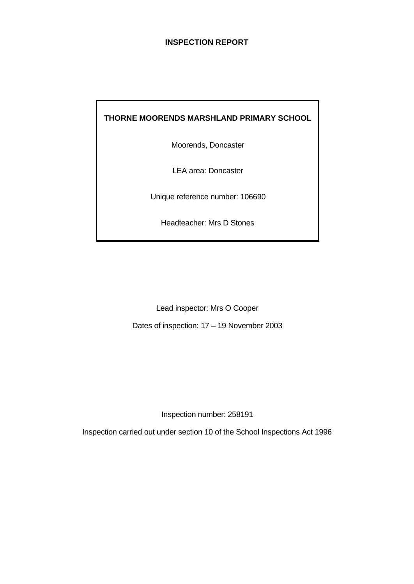#### **INSPECTION REPORT**

# **THORNE MOORENDS MARSHLAND PRIMARY SCHOOL**

Moorends, Doncaster

LEA area: Doncaster

Unique reference number: 106690

Headteacher: Mrs D Stones

Lead inspector: Mrs O Cooper

Dates of inspection: 17 – 19 November 2003

Inspection number: 258191

Inspection carried out under section 10 of the School Inspections Act 1996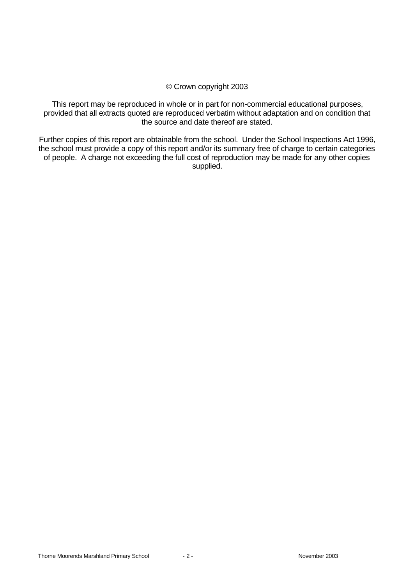#### © Crown copyright 2003

This report may be reproduced in whole or in part for non-commercial educational purposes, provided that all extracts quoted are reproduced verbatim without adaptation and on condition that the source and date thereof are stated.

Further copies of this report are obtainable from the school. Under the School Inspections Act 1996, the school must provide a copy of this report and/or its summary free of charge to certain categories of people. A charge not exceeding the full cost of reproduction may be made for any other copies supplied.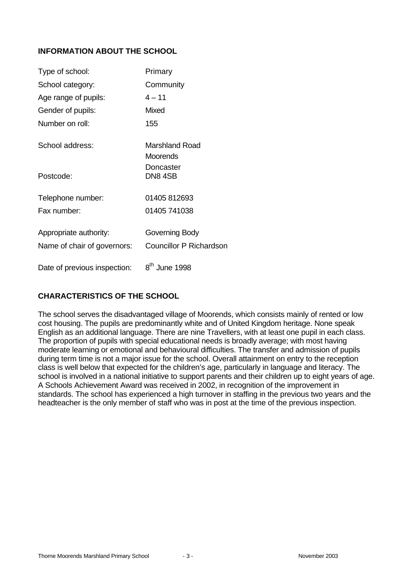# **INFORMATION ABOUT THE SCHOOL**

| Type of school:              | Primary                        |
|------------------------------|--------------------------------|
| School category:             | Community                      |
| Age range of pupils:         | $4 - 11$                       |
| Gender of pupils:            | <b>Mixed</b>                   |
| Number on roll:              | 155                            |
| School address:              | Marshland Road<br>Moorends     |
| Postcode:                    | Doncaster<br><b>DN8 4SB</b>    |
| Telephone number:            | 01405 812693                   |
| Fax number:                  | 01405 741038                   |
| Appropriate authority:       | Governing Body                 |
| Name of chair of governors:  | <b>Councillor P Richardson</b> |
| Date of previous inspection: | 8 <sup>th</sup> June 1998      |

# **CHARACTERISTICS OF THE SCHOOL**

The school serves the disadvantaged village of Moorends, which consists mainly of rented or low cost housing. The pupils are predominantly white and of United Kingdom heritage. None speak English as an additional language. There are nine Travellers, with at least one pupil in each class. The proportion of pupils with special educational needs is broadly average; with most having moderate learning or emotional and behavioural difficulties. The transfer and admission of pupils during term time is not a major issue for the school. Overall attainment on entry to the reception class is well below that expected for the children's age, particularly in language and literacy. The school is involved in a national initiative to support parents and their children up to eight years of age. A Schools Achievement Award was received in 2002, in recognition of the improvement in standards. The school has experienced a high turnover in staffing in the previous two years and the headteacher is the only member of staff who was in post at the time of the previous inspection.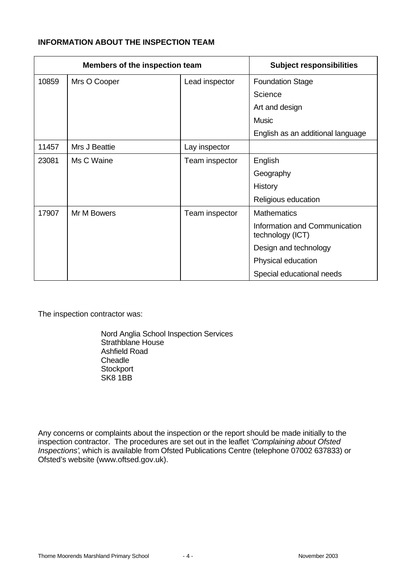# **INFORMATION ABOUT THE INSPECTION TEAM**

| Members of the inspection team |               | <b>Subject responsibilities</b> |                                                   |
|--------------------------------|---------------|---------------------------------|---------------------------------------------------|
| 10859                          | Mrs O Cooper  | Lead inspector                  | <b>Foundation Stage</b>                           |
|                                |               |                                 | Science                                           |
|                                |               |                                 | Art and design                                    |
|                                |               |                                 | <b>Music</b>                                      |
|                                |               |                                 | English as an additional language                 |
| 11457                          | Mrs J Beattie | Lay inspector                   |                                                   |
| 23081                          | Ms C Waine    | Team inspector                  | English                                           |
|                                |               |                                 | Geography                                         |
|                                |               |                                 | History                                           |
|                                |               |                                 | Religious education                               |
| 17907                          | Mr M Bowers   | Team inspector                  | <b>Mathematics</b>                                |
|                                |               |                                 | Information and Communication<br>technology (ICT) |
|                                |               |                                 | Design and technology                             |
|                                |               |                                 | Physical education                                |
|                                |               |                                 | Special educational needs                         |

The inspection contractor was:

Nord Anglia School Inspection Services Strathblane House Ashfield Road **Cheadle Stockport** SK8 1BB

Any concerns or complaints about the inspection or the report should be made initially to the inspection contractor. The procedures are set out in the leaflet *'Complaining about Ofsted Inspections'*, which is available from Ofsted Publications Centre (telephone 07002 637833) or Ofsted's website (www.oftsed.gov.uk).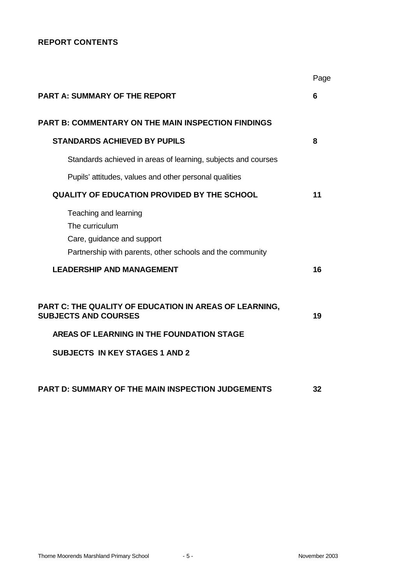# **REPORT CONTENTS**

|                                                                                                                                                                             | Page |
|-----------------------------------------------------------------------------------------------------------------------------------------------------------------------------|------|
| <b>PART A: SUMMARY OF THE REPORT</b>                                                                                                                                        | 6    |
| <b>PART B: COMMENTARY ON THE MAIN INSPECTION FINDINGS</b>                                                                                                                   |      |
| <b>STANDARDS ACHIEVED BY PUPILS</b>                                                                                                                                         | 8    |
| Standards achieved in areas of learning, subjects and courses                                                                                                               |      |
| Pupils' attitudes, values and other personal qualities                                                                                                                      |      |
| <b>QUALITY OF EDUCATION PROVIDED BY THE SCHOOL</b>                                                                                                                          | 11   |
| Teaching and learning<br>The curriculum<br>Care, guidance and support<br>Partnership with parents, other schools and the community                                          |      |
| <b>LEADERSHIP AND MANAGEMENT</b>                                                                                                                                            | 16   |
| PART C: THE QUALITY OF EDUCATION IN AREAS OF LEARNING,<br><b>SUBJECTS AND COURSES</b><br>AREAS OF LEARNING IN THE FOUNDATION STAGE<br><b>SUBJECTS IN KEY STAGES 1 AND 2</b> | 19   |
| PART D: SUMMARY OF THE MAIN INSPECTION JUDGEMENTS                                                                                                                           | 32   |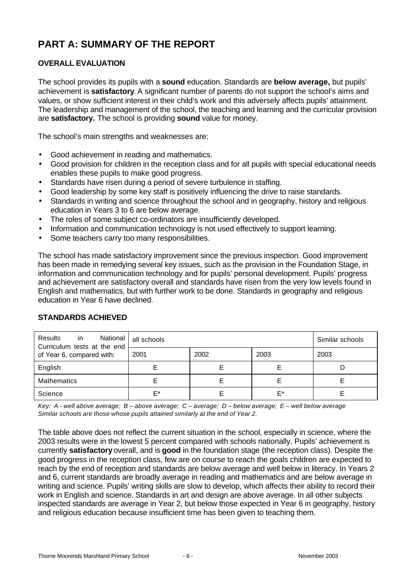# **PART A: SUMMARY OF THE REPORT**

# **OVERALL EVALUATION**

The school provides its pupils with a **sound** education. Standards are **below average,** but pupils' achievement is **satisfactory**. A significant number of parents do not support the school's aims and values, or show sufficient interest in their child's work and this adversely affects pupils' attainment. The leadership and management of the school, the teaching and learning and the curricular provision are **satisfactory.** The school is providing **sound** value for money.

The school's main strengths and weaknesses are:

- Good achievement in reading and mathematics.
- Good provision for children in the reception class and for all pupils with special educational needs enables these pupils to make good progress.
- Standards have risen during a period of severe turbulence in staffing.
- Good leadership by some key staff is positively influencing the drive to raise standards.
- Standards in writing and science throughout the school and in geography, history and religious education in Years 3 to 6 are below average.
- The roles of some subject co-ordinators are insufficiently developed.
- Information and communication technology is not used effectively to support learning.
- Some teachers carry too many responsibilities.

The school has made satisfactory improvement since the previous inspection. Good improvement has been made in remedying several key issues, such as the provision in the Foundation Stage, in information and communication technology and for pupils' personal development. Pupils' progress and achievement are satisfactory overall and standards have risen from the very low levels found in English and mathematics, but with further work to be done. Standards in geography and religious education in Year 6 have declined.

| Results<br>$\overline{\mathsf{in}}$<br>Curriculum tests at the end | National   all schools | Similar schools |      |      |
|--------------------------------------------------------------------|------------------------|-----------------|------|------|
| of Year 6, compared with:                                          | 2001                   | 2002            | 2003 | 2003 |
| English                                                            |                        |                 |      |      |
| <b>Mathematics</b>                                                 |                        |                 |      |      |
| Science                                                            | F*                     |                 | F*   |      |

#### **STANDARDS ACHIEVED**

*Key: A - well above average; B – above average; C – average; D – below average; E – well below average Similar schools are those whose pupils attained similarly at the end of Year 2.*

The table above does not reflect the current situation in the school, especially in science, where the 2003 results were in the lowest 5 percent compared with schools nationally. Pupils' achievement is currently **satisfactory** overall, and is **good** in the foundation stage (the reception class). Despite the good progress in the reception class, few are on course to reach the goals children are expected to reach by the end of reception and standards are below average and well below in literacy. In Years 2 and 6, current standards are broadly average in reading and mathematics and are below average in writing and science. Pupils' writing skills are slow to develop, which affects their ability to record their work in English and science. Standards in art and design are above average. In all other subjects inspected standards are average in Year 2, but below those expected in Year 6 in geography, history and religious education because insufficient time has been given to teaching them.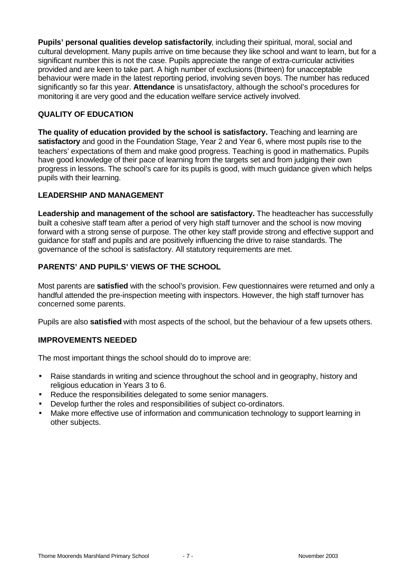**Pupils' personal qualities develop satisfactorily**, including their spiritual, moral, social and cultural development. Many pupils arrive on time because they like school and want to learn, but for a significant number this is not the case. Pupils appreciate the range of extra-curricular activities provided and are keen to take part. A high number of exclusions (thirteen) for unacceptable behaviour were made in the latest reporting period, involving seven boys. The number has reduced significantly so far this year. **Attendance** is unsatisfactory, although the school's procedures for monitoring it are very good and the education welfare service actively involved.

# **QUALITY OF EDUCATION**

**The quality of education provided by the school is satisfactory.** Teaching and learning are **satisfactory** and good in the Foundation Stage, Year 2 and Year 6, where most pupils rise to the teachers' expectations of them and make good progress. Teaching is good in mathematics. Pupils have good knowledge of their pace of learning from the targets set and from judging their own progress in lessons. The school's care for its pupils is good, with much guidance given which helps pupils with their learning.

# **LEADERSHIP AND MANAGEMENT**

**Leadership and management of the school are satisfactory.** The headteacher has successfully built a cohesive staff team after a period of very high staff turnover and the school is now moving forward with a strong sense of purpose. The other key staff provide strong and effective support and guidance for staff and pupils and are positively influencing the drive to raise standards. The governance of the school is satisfactory. All statutory requirements are met.

# **PARENTS' AND PUPILS' VIEWS OF THE SCHOOL**

Most parents are **satisfied** with the school's provision. Few questionnaires were returned and only a handful attended the pre-inspection meeting with inspectors. However, the high staff turnover has concerned some parents.

Pupils are also **satisfied** with most aspects of the school, but the behaviour of a few upsets others.

# **IMPROVEMENTS NEEDED**

The most important things the school should do to improve are:

- Raise standards in writing and science throughout the school and in geography, history and religious education in Years 3 to 6.
- Reduce the responsibilities delegated to some senior managers.
- Develop further the roles and responsibilities of subject co-ordinators.
- Make more effective use of information and communication technology to support learning in other subjects.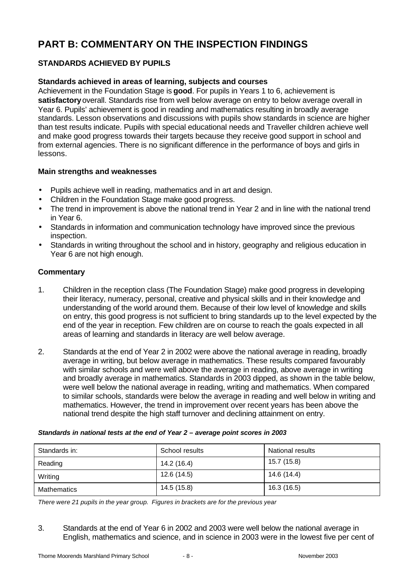# **PART B: COMMENTARY ON THE INSPECTION FINDINGS**

# **STANDARDS ACHIEVED BY PUPILS**

# **Standards achieved in areas of learning, subjects and courses**

Achievement in the Foundation Stage is **good**. For pupils in Years 1 to 6, achievement is **satisfactory** overall. Standards rise from well below average on entry to below average overall in Year 6. Pupils' achievement is good in reading and mathematics resulting in broadly average standards. Lesson observations and discussions with pupils show standards in science are higher than test results indicate. Pupils with special educational needs and Traveller children achieve well and make good progress towards their targets because they receive good support in school and from external agencies. There is no significant difference in the performance of boys and girls in lessons.

#### **Main strengths and weaknesses**

- Pupils achieve well in reading, mathematics and in art and design.
- Children in the Foundation Stage make good progress.
- The trend in improvement is above the national trend in Year 2 and in line with the national trend in Year 6.
- Standards in information and communication technology have improved since the previous inspection.
- Standards in writing throughout the school and in history, geography and religious education in Year 6 are not high enough.

#### **Commentary**

- 1. Children in the reception class (The Foundation Stage) make good progress in developing their literacy, numeracy, personal, creative and physical skills and in their knowledge and understanding of the world around them. Because of their low level of knowledge and skills on entry, this good progress is not sufficient to bring standards up to the level expected by the end of the year in reception. Few children are on course to reach the goals expected in all areas of learning and standards in literacy are well below average.
- 2. Standards at the end of Year 2 in 2002 were above the national average in reading, broadly average in writing, but below average in mathematics. These results compared favourably with similar schools and were well above the average in reading, above average in writing and broadly average in mathematics. Standards in 2003 dipped, as shown in the table below, were well below the national average in reading, writing and mathematics. When compared to similar schools, standards were below the average in reading and well below in writing and mathematics. However, the trend in improvement over recent years has been above the national trend despite the high staff turnover and declining attainment on entry.

| Standards in:      | School results | <b>National results</b> |
|--------------------|----------------|-------------------------|
| Reading            | 14.2 (16.4)    | 15.7 (15.8)             |
| Writing            | 12.6 (14.5)    | 14.6 (14.4)             |
| <b>Mathematics</b> | 14.5 (15.8)    | 16.3 (16.5)             |

#### *Standards in national tests at the end of Year 2 – average point scores in 2003*

*There were 21 pupils in the year group. Figures in brackets are for the previous year*

3. Standards at the end of Year 6 in 2002 and 2003 were well below the national average in English, mathematics and science, and in science in 2003 were in the lowest five per cent of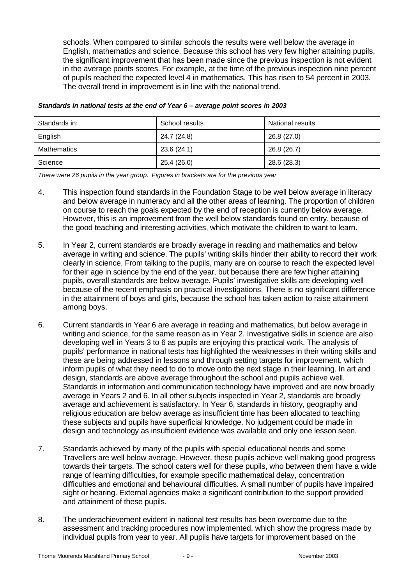schools. When compared to similar schools the results were well below the average in English, mathematics and science. Because this school has very few higher attaining pupils, the significant improvement that has been made since the previous inspection is not evident in the average points scores. For example, at the time of the previous inspection nine percent of pupils reached the expected level 4 in mathematics. This has risen to 54 percent in 2003. The overall trend in improvement is in line with the national trend.

| Standards in: | School results | <b>National results</b> |
|---------------|----------------|-------------------------|
| English       | 24.7 (24.8)    | 26.8 (27.0)             |
| Mathematics   | 23.6 (24.1)    | 26.8 (26.7)             |
| Science       | 25.4 (26.0)    | 28.6 (28.3)             |

#### *Standards in national tests at the end of Year 6 – average point scores in 2003*

*There were 26 pupils in the year group. Figures in brackets are for the previous year*

- 4. This inspection found standards in the Foundation Stage to be well below average in literacy and below average in numeracy and all the other areas of learning. The proportion of children on course to reach the goals expected by the end of reception is currently below average. However, this is an improvement from the well below standards found on entry, because of the good teaching and interesting activities, which motivate the children to want to learn.
- 5. In Year 2, current standards are broadly average in reading and mathematics and below average in writing and science. The pupils' writing skills hinder their ability to record their work clearly in science. From talking to the pupils, many are on course to reach the expected level for their age in science by the end of the year, but because there are few higher attaining pupils, overall standards are below average. Pupils' investigative skills are developing well because of the recent emphasis on practical investigations. There is no significant difference in the attainment of boys and girls, because the school has taken action to raise attainment among boys.
- 6. Current standards in Year 6 are average in reading and mathematics, but below average in writing and science, for the same reason as in Year 2. Investigative skills in science are also developing well in Years 3 to 6 as pupils are enjoying this practical work. The analysis of pupils' performance in national tests has highlighted the weaknesses in their writing skills and these are being addressed in lessons and through setting targets for improvement, which inform pupils of what they need to do to move onto the next stage in their learning. In art and design, standards are above average throughout the school and pupils achieve well. Standards in information and communication technology have improved and are now broadly average in Years 2 and 6. In all other subjects inspected in Year 2, standards are broadly average and achievement is satisfactory. In Year 6, standards in history, geography and religious education are below average as insufficient time has been allocated to teaching these subjects and pupils have superficial knowledge. No judgement could be made in design and technology as insufficient evidence was available and only one lesson seen.
- 7. Standards achieved by many of the pupils with special educational needs and some Travellers are well below average. However, these pupils achieve well making good progress towards their targets. The school caters well for these pupils, who between them have a wide range of learning difficulties, for example specific mathematical delay, concentration difficulties and emotional and behavioural difficulties. A small number of pupils have impaired sight or hearing. External agencies make a significant contribution to the support provided and attainment of these pupils.
- 8. The underachievement evident in national test results has been overcome due to the assessment and tracking procedures now implemented, which show the progress made by individual pupils from year to year. All pupils have targets for improvement based on the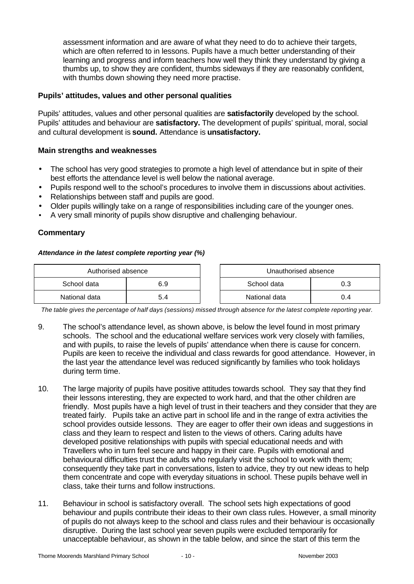assessment information and are aware of what they need to do to achieve their targets, which are often referred to in lessons. Pupils have a much better understanding of their learning and progress and inform teachers how well they think they understand by giving a thumbs up, to show they are confident, thumbs sideways if they are reasonably confident, with thumbs down showing they need more practise.

#### **Pupils' attitudes, values and other personal qualities**

Pupils' attitudes, values and other personal qualities are **satisfactorily** developed by the school. Pupils' attitudes and behaviour are **satisfactory.** The development of pupils' spiritual, moral, social and cultural development is **sound.** Attendance is **unsatisfactory.**

#### **Main strengths and weaknesses**

- The school has very good strategies to promote a high level of attendance but in spite of their best efforts the attendance level is well below the national average.
- Pupils respond well to the school's procedures to involve them in discussions about activities.
- Relationships between staff and pupils are good.
- Older pupils willingly take on a range of responsibilities including care of the younger ones.
- A very small minority of pupils show disruptive and challenging behaviour.

#### **Commentary**

#### *Attendance in the latest complete reporting year (%)*

| Authorised absence |     | Unauthorised absence |     |
|--------------------|-----|----------------------|-----|
| School data        | 6.9 | School data          |     |
| National data      | 5.4 | National data        | J.4 |

*The table gives the percentage of half days (sessions) missed through absence for the latest complete reporting year.*

- 9. The school's attendance level, as shown above, is below the level found in most primary schools. The school and the educational welfare services work very closely with families, and with pupils, to raise the levels of pupils' attendance when there is cause for concern. Pupils are keen to receive the individual and class rewards for good attendance. However, in the last year the attendance level was reduced significantly by families who took holidays during term time.
- 10. The large majority of pupils have positive attitudes towards school. They say that they find their lessons interesting, they are expected to work hard, and that the other children are friendly. Most pupils have a high level of trust in their teachers and they consider that they are treated fairly. Pupils take an active part in school life and in the range of extra activities the school provides outside lessons. They are eager to offer their own ideas and suggestions in class and they learn to respect and listen to the views of others. Caring adults have developed positive relationships with pupils with special educational needs and with Travellers who in turn feel secure and happy in their care. Pupils with emotional and behavioural difficulties trust the adults who regularly visit the school to work with them; consequently they take part in conversations, listen to advice, they try out new ideas to help them concentrate and cope with everyday situations in school. These pupils behave well in class, take their turns and follow instructions.
- 11. Behaviour in school is satisfactory overall. The school sets high expectations of good behaviour and pupils contribute their ideas to their own class rules. However, a small minority of pupils do not always keep to the school and class rules and their behaviour is occasionally disruptive. During the last school year seven pupils were excluded temporarily for unacceptable behaviour, as shown in the table below, and since the start of this term the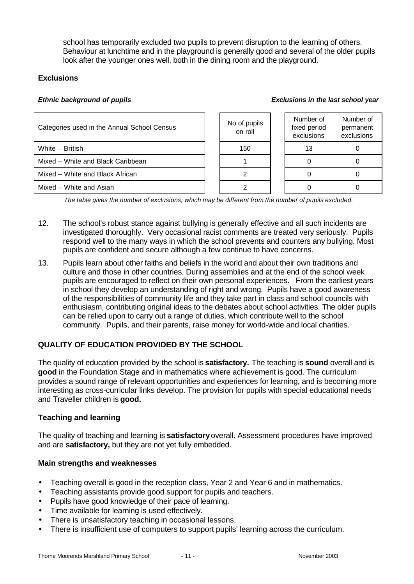school has temporarily excluded two pupils to prevent disruption to the learning of others. Behaviour at lunchtime and in the playground is generally good and several of the older pupils look after the younger ones well, both in the dining room and the playground.

# **Exclusions**

#### *Ethnic background of pupils Exclusions in the last school year*

| Categories used in the Annual School Census | No of pupils<br>on roll | Number of<br>fixed period<br>exclusions | Number of<br>permanent<br>exclusions |
|---------------------------------------------|-------------------------|-----------------------------------------|--------------------------------------|
| White - British                             | 150                     | 13                                      |                                      |
| Mixed - White and Black Caribbean           |                         |                                         |                                      |
| Mixed – White and Black African             |                         |                                         |                                      |
| Mixed – White and Asian                     |                         |                                         |                                      |

*The table gives the number of exclusions, which may be different from the number of pupils excluded.*

- 12. The school's robust stance against bullying is generally effective and all such incidents are investigated thoroughly. Very occasional racist comments are treated very seriously. Pupils respond well to the many ways in which the school prevents and counters any bullying. Most pupils are confident and secure although a few continue to have concerns.
- 13. Pupils learn about other faiths and beliefs in the world and about their own traditions and culture and those in other countries. During assemblies and at the end of the school week pupils are encouraged to reflect on their own personal experiences. From the earliest years in school they develop an understanding of right and wrong. Pupils have a good awareness of the responsibilities of community life and they take part in class and school councils with enthusiasm, contributing original ideas to the debates about school activities. The older pupils can be relied upon to carry out a range of duties, which contribute well to the school community. Pupils, and their parents, raise money for world-wide and local charities.

# **QUALITY OF EDUCATION PROVIDED BY THE SCHOOL**

The quality of education provided by the school is **satisfactory.** The teaching is **sound** overall and is **good** in the Foundation Stage and in mathematics where achievement is good. The curriculum provides a sound range of relevant opportunities and experiences for learning, and is becoming more interesting as cross-curricular links develop. The provision for pupils with special educational needs and Traveller children is **good.**

# **Teaching and learning**

The quality of teaching and learning is **satisfactory** overall. Assessment procedures have improved and are **satisfactory,** but they are not yet fully embedded.

# **Main strengths and weaknesses**

- Teaching overall is good in the reception class, Year 2 and Year 6 and in mathematics.
- Teaching assistants provide good support for pupils and teachers.
- Pupils have good knowledge of their pace of learning.
- Time available for learning is used effectively.
- There is unsatisfactory teaching in occasional lessons.
- There is insufficient use of computers to support pupils' learning across the curriculum.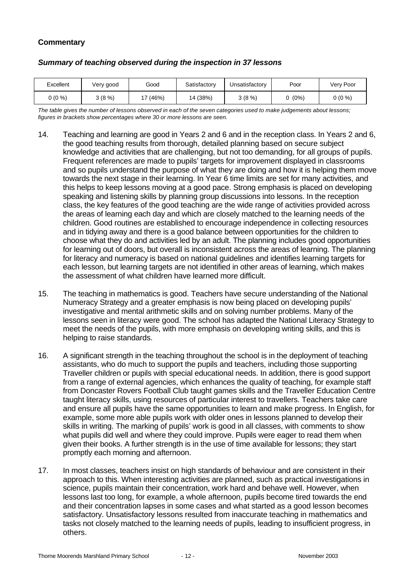# **Commentary**

| Excellent | Very good | Good  | Satisfactory | Unsatisfactorv | Poor    | Very Poor |
|-----------|-----------|-------|--------------|----------------|---------|-----------|
| $0(0\%)$  | 3(8%)     | (46%) | 14 (38%)     | 3(8%)          | $(0\%)$ | $0(0\%)$  |

#### *Summary of teaching observed during the inspection in 37 lessons*

*The table gives the number of lessons observed in each of the seven categories used to make judgements about lessons; figures in brackets show percentages where 30 or more lessons are seen.*

- 14. Teaching and learning are good in Years 2 and 6 and in the reception class. In Years 2 and 6, the good teaching results from thorough, detailed planning based on secure subject knowledge and activities that are challenging, but not too demanding, for all groups of pupils. Frequent references are made to pupils' targets for improvement displayed in classrooms and so pupils understand the purpose of what they are doing and how it is helping them move towards the next stage in their learning. In Year 6 time limits are set for many activities, and this helps to keep lessons moving at a good pace. Strong emphasis is placed on developing speaking and listening skills by planning group discussions into lessons. In the reception class, the key features of the good teaching are the wide range of activities provided across the areas of learning each day and which are closely matched to the learning needs of the children. Good routines are established to encourage independence in collecting resources and in tidying away and there is a good balance between opportunities for the children to choose what they do and activities led by an adult. The planning includes good opportunities for learning out of doors, but overall is inconsistent across the areas of learning. The planning for literacy and numeracy is based on national guidelines and identifies learning targets for each lesson, but learning targets are not identified in other areas of learning, which makes the assessment of what children have learned more difficult.
- 15. The teaching in mathematics is good. Teachers have secure understanding of the National Numeracy Strategy and a greater emphasis is now being placed on developing pupils' investigative and mental arithmetic skills and on solving number problems. Many of the lessons seen in literacy were good. The school has adapted the National Literacy Strategy to meet the needs of the pupils, with more emphasis on developing writing skills, and this is helping to raise standards.
- 16. A significant strength in the teaching throughout the school is in the deployment of teaching assistants, who do much to support the pupils and teachers, including those supporting Traveller children or pupils with special educational needs. In addition, there is good support from a range of external agencies, which enhances the quality of teaching, for example staff from Doncaster Rovers Football Club taught games skills and the Traveller Education Centre taught literacy skills, using resources of particular interest to travellers. Teachers take care and ensure all pupils have the same opportunities to learn and make progress. In English, for example, some more able pupils work with older ones in lessons planned to develop their skills in writing. The marking of pupils' work is good in all classes, with comments to show what pupils did well and where they could improve. Pupils were eager to read them when given their books. A further strength is in the use of time available for lessons; they start promptly each morning and afternoon.
- 17. In most classes, teachers insist on high standards of behaviour and are consistent in their approach to this. When interesting activities are planned, such as practical investigations in science, pupils maintain their concentration, work hard and behave well. However, when lessons last too long, for example, a whole afternoon, pupils become tired towards the end and their concentration lapses in some cases and what started as a good lesson becomes satisfactory. Unsatisfactory lessons resulted from inaccurate teaching in mathematics and tasks not closely matched to the learning needs of pupils, leading to insufficient progress, in others.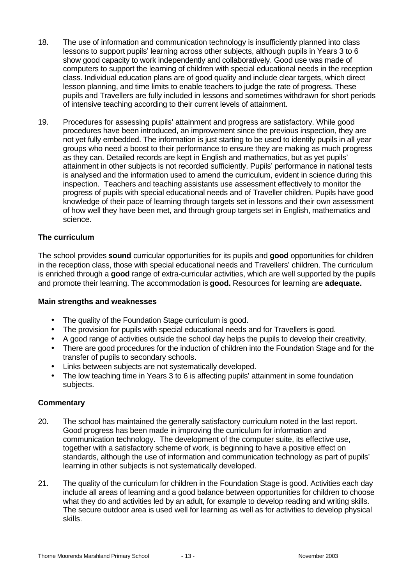- 18. The use of information and communication technology is insufficiently planned into class lessons to support pupils' learning across other subjects, although pupils in Years 3 to 6 show good capacity to work independently and collaboratively. Good use was made of computers to support the learning of children with special educational needs in the reception class. Individual education plans are of good quality and include clear targets, which direct lesson planning, and time limits to enable teachers to judge the rate of progress. These pupils and Travellers are fully included in lessons and sometimes withdrawn for short periods of intensive teaching according to their current levels of attainment.
- 19. Procedures for assessing pupils' attainment and progress are satisfactory. While good procedures have been introduced, an improvement since the previous inspection, they are not yet fully embedded. The information is just starting to be used to identify pupils in all year groups who need a boost to their performance to ensure they are making as much progress as they can. Detailed records are kept in English and mathematics, but as yet pupils' attainment in other subjects is not recorded sufficiently. Pupils' performance in national tests is analysed and the information used to amend the curriculum, evident in science during this inspection. Teachers and teaching assistants use assessment effectively to monitor the progress of pupils with special educational needs and of Traveller children. Pupils have good knowledge of their pace of learning through targets set in lessons and their own assessment of how well they have been met, and through group targets set in English, mathematics and science.

#### **The curriculum**

The school provides **sound** curricular opportunities for its pupils and **good** opportunities for children in the reception class, those with special educational needs and Travellers' children. The curriculum is enriched through a **good** range of extra-curricular activities, which are well supported by the pupils and promote their learning. The accommodation is **good.** Resources for learning are **adequate.**

#### **Main strengths and weaknesses**

- The quality of the Foundation Stage curriculum is good.
- The provision for pupils with special educational needs and for Travellers is good.
- A good range of activities outside the school day helps the pupils to develop their creativity.
- There are good procedures for the induction of children into the Foundation Stage and for the transfer of pupils to secondary schools.
- Links between subjects are not systematically developed.
- The low teaching time in Years 3 to 6 is affecting pupils' attainment in some foundation subjects.

#### **Commentary**

- 20. The school has maintained the generally satisfactory curriculum noted in the last report. Good progress has been made in improving the curriculum for information and communication technology. The development of the computer suite, its effective use, together with a satisfactory scheme of work, is beginning to have a positive effect on standards, although the use of information and communication technology as part of pupils' learning in other subjects is not systematically developed.
- 21. The quality of the curriculum for children in the Foundation Stage is good. Activities each day include all areas of learning and a good balance between opportunities for children to choose what they do and activities led by an adult, for example to develop reading and writing skills. The secure outdoor area is used well for learning as well as for activities to develop physical skills.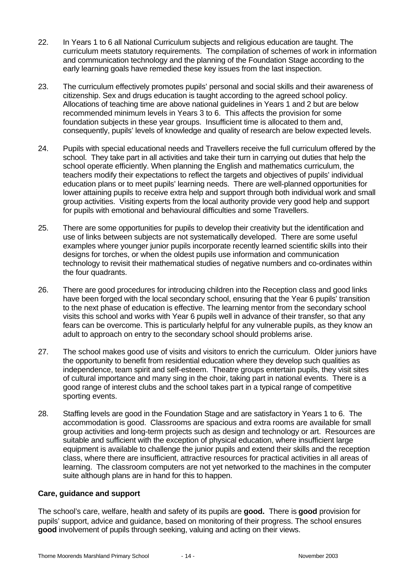- 22. In Years 1 to 6 all National Curriculum subjects and religious education are taught. The curriculum meets statutory requirements. The compilation of schemes of work in information and communication technology and the planning of the Foundation Stage according to the early learning goals have remedied these key issues from the last inspection.
- 23. The curriculum effectively promotes pupils' personal and social skills and their awareness of citizenship. Sex and drugs education is taught according to the agreed school policy. Allocations of teaching time are above national guidelines in Years 1 and 2 but are below recommended minimum levels in Years 3 to 6. This affects the provision for some foundation subjects in these year groups. Insufficient time is allocated to them and, consequently, pupils' levels of knowledge and quality of research are below expected levels.
- 24. Pupils with special educational needs and Travellers receive the full curriculum offered by the school. They take part in all activities and take their turn in carrying out duties that help the school operate efficiently. When planning the English and mathematics curriculum, the teachers modify their expectations to reflect the targets and objectives of pupils' individual education plans or to meet pupils' learning needs. There are well-planned opportunities for lower attaining pupils to receive extra help and support through both individual work and small group activities. Visiting experts from the local authority provide very good help and support for pupils with emotional and behavioural difficulties and some Travellers.
- 25. There are some opportunities for pupils to develop their creativity but the identification and use of links between subjects are not systematically developed. There are some useful examples where younger junior pupils incorporate recently learned scientific skills into their designs for torches, or when the oldest pupils use information and communication technology to revisit their mathematical studies of negative numbers and co-ordinates within the four quadrants.
- 26. There are good procedures for introducing children into the Reception class and good links have been forged with the local secondary school, ensuring that the Year 6 pupils' transition to the next phase of education is effective. The learning mentor from the secondary school visits this school and works with Year 6 pupils well in advance of their transfer, so that any fears can be overcome. This is particularly helpful for any vulnerable pupils, as they know an adult to approach on entry to the secondary school should problems arise.
- 27. The school makes good use of visits and visitors to enrich the curriculum. Older juniors have the opportunity to benefit from residential education where they develop such qualities as independence, team spirit and self-esteem. Theatre groups entertain pupils, they visit sites of cultural importance and many sing in the choir, taking part in national events. There is a good range of interest clubs and the school takes part in a typical range of competitive sporting events.
- 28. Staffing levels are good in the Foundation Stage and are satisfactory in Years 1 to 6. The accommodation is good. Classrooms are spacious and extra rooms are available for small group activities and long-term projects such as design and technology or art. Resources are suitable and sufficient with the exception of physical education, where insufficient large equipment is available to challenge the junior pupils and extend their skills and the reception class, where there are insufficient, attractive resources for practical activities in all areas of learning. The classroom computers are not yet networked to the machines in the computer suite although plans are in hand for this to happen.

#### **Care, guidance and support**

The school's care, welfare, health and safety of its pupils are **good.** There is **good** provision for pupils' support, advice and guidance, based on monitoring of their progress. The school ensures **good** involvement of pupils through seeking, valuing and acting on their views.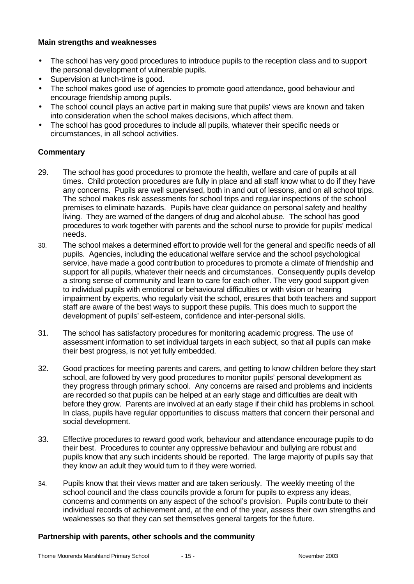#### **Main strengths and weaknesses**

- The school has very good procedures to introduce pupils to the reception class and to support the personal development of vulnerable pupils.
- Supervision at lunch-time is good.
- The school makes good use of agencies to promote good attendance, good behaviour and encourage friendship among pupils.
- The school council plays an active part in making sure that pupils' views are known and taken into consideration when the school makes decisions, which affect them.
- The school has good procedures to include all pupils, whatever their specific needs or circumstances, in all school activities.

# **Commentary**

- 29. The school has good procedures to promote the health, welfare and care of pupils at all times. Child protection procedures are fully in place and all staff know what to do if they have any concerns. Pupils are well supervised, both in and out of lessons, and on all school trips. The school makes risk assessments for school trips and regular inspections of the school premises to eliminate hazards. Pupils have clear guidance on personal safety and healthy living. They are warned of the dangers of drug and alcohol abuse. The school has good procedures to work together with parents and the school nurse to provide for pupils' medical needs.
- 30. The school makes a determined effort to provide well for the general and specific needs of all pupils. Agencies, including the educational welfare service and the school psychological service, have made a good contribution to procedures to promote a climate of friendship and support for all pupils, whatever their needs and circumstances. Consequently pupils develop a strong sense of community and learn to care for each other. The very good support given to individual pupils with emotional or behavioural difficulties or with vision or hearing impairment by experts, who regularly visit the school, ensures that both teachers and support staff are aware of the best ways to support these pupils. This does much to support the development of pupils' self-esteem, confidence and inter-personal skills.
- 31. The school has satisfactory procedures for monitoring academic progress. The use of assessment information to set individual targets in each subject, so that all pupils can make their best progress, is not yet fully embedded.
- 32. Good practices for meeting parents and carers, and getting to know children before they start school, are followed by very good procedures to monitor pupils' personal development as they progress through primary school. Any concerns are raised and problems and incidents are recorded so that pupils can be helped at an early stage and difficulties are dealt with before they grow. Parents are involved at an early stage if their child has problems in school. In class, pupils have regular opportunities to discuss matters that concern their personal and social development.
- 33. Effective procedures to reward good work, behaviour and attendance encourage pupils to do their best. Procedures to counter any oppressive behaviour and bullying are robust and pupils know that any such incidents should be reported. The large majority of pupils say that they know an adult they would turn to if they were worried.
- 34. Pupils know that their views matter and are taken seriously. The weekly meeting of the school council and the class councils provide a forum for pupils to express any ideas, concerns and comments on any aspect of the school's provision. Pupils contribute to their individual records of achievement and, at the end of the year, assess their own strengths and weaknesses so that they can set themselves general targets for the future.

#### **Partnership with parents, other schools and the community**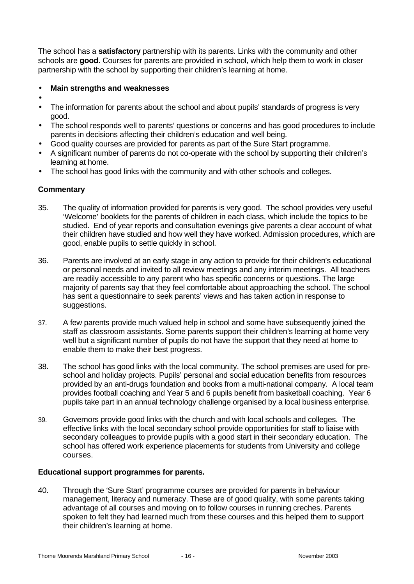The school has a **satisfactory** partnership with its parents. Links with the community and other schools are **good.** Courses for parents are provided in school, which help them to work in closer partnership with the school by supporting their children's learning at home.

#### • **Main strengths and weaknesses**

- •
- The information for parents about the school and about pupils' standards of progress is very good.
- The school responds well to parents' questions or concerns and has good procedures to include parents in decisions affecting their children's education and well being.
- Good quality courses are provided for parents as part of the Sure Start programme.
- A significant number of parents do not co-operate with the school by supporting their children's learning at home.
- The school has good links with the community and with other schools and colleges.

#### **Commentary**

- 35. The quality of information provided for parents is very good. The school provides very useful 'Welcome' booklets for the parents of children in each class, which include the topics to be studied. End of year reports and consultation evenings give parents a clear account of what their children have studied and how well they have worked. Admission procedures, which are good, enable pupils to settle quickly in school.
- 36. Parents are involved at an early stage in any action to provide for their children's educational or personal needs and invited to all review meetings and any interim meetings. All teachers are readily accessible to any parent who has specific concerns or questions. The large majority of parents say that they feel comfortable about approaching the school. The school has sent a questionnaire to seek parents' views and has taken action in response to suggestions.
- 37. A few parents provide much valued help in school and some have subsequently joined the staff as classroom assistants. Some parents support their children's learning at home very well but a significant number of pupils do not have the support that they need at home to enable them to make their best progress.
- 38. The school has good links with the local community. The school premises are used for preschool and holiday projects. Pupils' personal and social education benefits from resources provided by an anti-drugs foundation and books from a multi-national company. A local team provides football coaching and Year 5 and 6 pupils benefit from basketball coaching. Year 6 pupils take part in an annual technology challenge organised by a local business enterprise.
- 39. Governors provide good links with the church and with local schools and colleges. The effective links with the local secondary school provide opportunities for staff to liaise with secondary colleagues to provide pupils with a good start in their secondary education. The school has offered work experience placements for students from University and college courses.

#### **Educational support programmes for parents.**

40. Through the 'Sure Start' programme courses are provided for parents in behaviour management, literacy and numeracy. These are of good quality, with some parents taking advantage of all courses and moving on to follow courses in running creches. Parents spoken to felt they had learned much from these courses and this helped them to support their children's learning at home.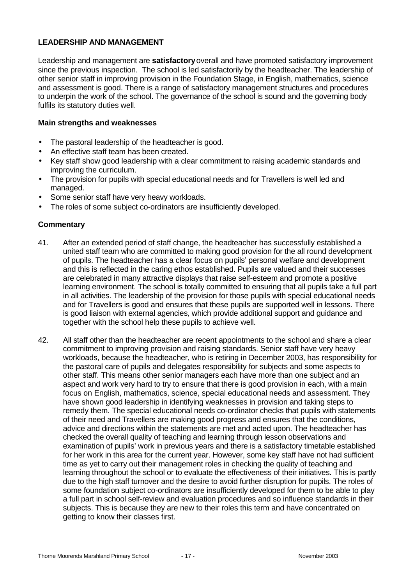#### **LEADERSHIP AND MANAGEMENT**

Leadership and management are **satisfactory** overall and have promoted satisfactory improvement since the previous inspection. The school is led satisfactorily by the headteacher. The leadership of other senior staff in improving provision in the Foundation Stage, in English, mathematics, science and assessment is good. There is a range of satisfactory management structures and procedures to underpin the work of the school. The governance of the school is sound and the governing body fulfils its statutory duties well.

#### **Main strengths and weaknesses**

- The pastoral leadership of the headteacher is good.
- An effective staff team has been created.
- Key staff show good leadership with a clear commitment to raising academic standards and improving the curriculum.
- The provision for pupils with special educational needs and for Travellers is well led and managed.
- Some senior staff have very heavy workloads.
- The roles of some subject co-ordinators are insufficiently developed.

#### **Commentary**

- 41. After an extended period of staff change, the headteacher has successfully established a united staff team who are committed to making good provision for the all round development of pupils. The headteacher has a clear focus on pupils' personal welfare and development and this is reflected in the caring ethos established. Pupils are valued and their successes are celebrated in many attractive displays that raise self-esteem and promote a positive learning environment. The school is totally committed to ensuring that all pupils take a full part in all activities. The leadership of the provision for those pupils with special educational needs and for Travellers is good and ensures that these pupils are supported well in lessons. There is good liaison with external agencies, which provide additional support and guidance and together with the school help these pupils to achieve well.
- 42. All staff other than the headteacher are recent appointments to the school and share a clear commitment to improving provision and raising standards. Senior staff have very heavy workloads, because the headteacher, who is retiring in December 2003, has responsibility for the pastoral care of pupils and delegates responsibility for subjects and some aspects to other staff. This means other senior managers each have more than one subject and an aspect and work very hard to try to ensure that there is good provision in each, with a main focus on English, mathematics, science, special educational needs and assessment. They have shown good leadership in identifying weaknesses in provision and taking steps to remedy them. The special educational needs co-ordinator checks that pupils with statements of their need and Travellers are making good progress and ensures that the conditions, advice and directions within the statements are met and acted upon. The headteacher has checked the overall quality of teaching and learning through lesson observations and examination of pupils' work in previous years and there is a satisfactory timetable established for her work in this area for the current year. However, some key staff have not had sufficient time as yet to carry out their management roles in checking the quality of teaching and learning throughout the school or to evaluate the effectiveness of their initiatives. This is partly due to the high staff turnover and the desire to avoid further disruption for pupils. The roles of some foundation subject co-ordinators are insufficiently developed for them to be able to play a full part in school self-review and evaluation procedures and so influence standards in their subjects. This is because they are new to their roles this term and have concentrated on getting to know their classes first.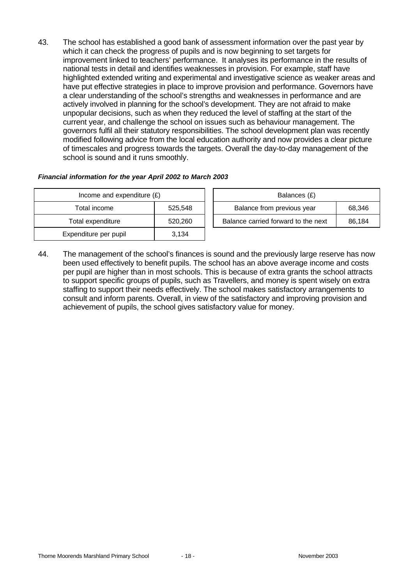43. The school has established a good bank of assessment information over the past year by which it can check the progress of pupils and is now beginning to set targets for improvement linked to teachers' performance. It analyses its performance in the results of national tests in detail and identifies weaknesses in provision. For example, staff have highlighted extended writing and experimental and investigative science as weaker areas and have put effective strategies in place to improve provision and performance. Governors have a clear understanding of the school's strengths and weaknesses in performance and are actively involved in planning for the school's development. They are not afraid to make unpopular decisions, such as when they reduced the level of staffing at the start of the current year, and challenge the school on issues such as behaviour management. The governors fulfil all their statutory responsibilities. The school development plan was recently modified following advice from the local education authority and now provides a clear picture of timescales and progress towards the targets. Overall the day-to-day management of the school is sound and it runs smoothly.

#### *Financial information for the year April 2002 to March 2003*

| Income and expenditure $(E)$ |         | Balances (£)                                  |  |  |
|------------------------------|---------|-----------------------------------------------|--|--|
| Total income                 | 525.548 | Balance from previous year<br>68,346          |  |  |
| Total expenditure            | 520.260 | Balance carried forward to the next<br>86.184 |  |  |
| Expenditure per pupil        | 3,134   |                                               |  |  |

44. The management of the school's finances is sound and the previously large reserve has now been used effectively to benefit pupils. The school has an above average income and costs per pupil are higher than in most schools. This is because of extra grants the school attracts to support specific groups of pupils, such as Travellers, and money is spent wisely on extra staffing to support their needs effectively. The school makes satisfactory arrangements to consult and inform parents. Overall, in view of the satisfactory and improving provision and achievement of pupils, the school gives satisfactory value for money.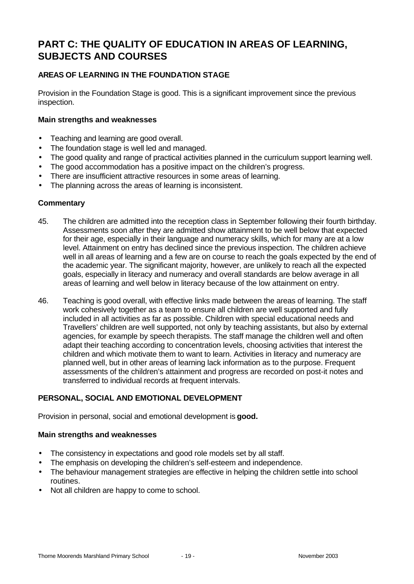# **PART C: THE QUALITY OF EDUCATION IN AREAS OF LEARNING, SUBJECTS AND COURSES**

# **AREAS OF LEARNING IN THE FOUNDATION STAGE**

Provision in the Foundation Stage is good. This is a significant improvement since the previous inspection.

#### **Main strengths and weaknesses**

- Teaching and learning are good overall.
- The foundation stage is well led and managed.
- The good quality and range of practical activities planned in the curriculum support learning well.
- The good accommodation has a positive impact on the children's progress.
- There are insufficient attractive resources in some areas of learning.
- The planning across the areas of learning is inconsistent.

#### **Commentary**

- 45. The children are admitted into the reception class in September following their fourth birthday. Assessments soon after they are admitted show attainment to be well below that expected for their age, especially in their language and numeracy skills, which for many are at a low level. Attainment on entry has declined since the previous inspection. The children achieve well in all areas of learning and a few are on course to reach the goals expected by the end of the academic year. The significant majority, however, are unlikely to reach all the expected goals, especially in literacy and numeracy and overall standards are below average in all areas of learning and well below in literacy because of the low attainment on entry.
- 46. Teaching is good overall, with effective links made between the areas of learning. The staff work cohesively together as a team to ensure all children are well supported and fully included in all activities as far as possible. Children with special educational needs and Travellers' children are well supported, not only by teaching assistants, but also by external agencies, for example by speech therapists. The staff manage the children well and often adapt their teaching according to concentration levels, choosing activities that interest the children and which motivate them to want to learn. Activities in literacy and numeracy are planned well, but in other areas of learning lack information as to the purpose. Frequent assessments of the children's attainment and progress are recorded on post-it notes and transferred to individual records at frequent intervals.

# **PERSONAL, SOCIAL AND EMOTIONAL DEVELOPMENT**

Provision in personal, social and emotional development is **good.**

#### **Main strengths and weaknesses**

- The consistency in expectations and good role models set by all staff.
- The emphasis on developing the children's self-esteem and independence.
- The behaviour management strategies are effective in helping the children settle into school routines.
- Not all children are happy to come to school.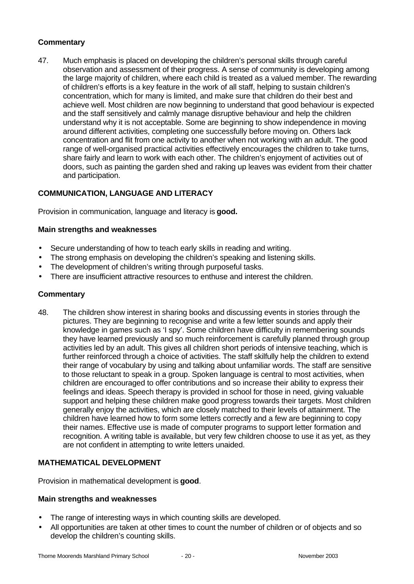# **Commentary**

47. Much emphasis is placed on developing the children's personal skills through careful observation and assessment of their progress. A sense of community is developing among the large majority of children, where each child is treated as a valued member. The rewarding of children's efforts is a key feature in the work of all staff, helping to sustain children's concentration, which for many is limited, and make sure that children do their best and achieve well. Most children are now beginning to understand that good behaviour is expected and the staff sensitively and calmly manage disruptive behaviour and help the children understand why it is not acceptable. Some are beginning to show independence in moving around different activities, completing one successfully before moving on. Others lack concentration and flit from one activity to another when not working with an adult. The good range of well-organised practical activities effectively encourages the children to take turns, share fairly and learn to work with each other. The children's enjoyment of activities out of doors, such as painting the garden shed and raking up leaves was evident from their chatter and participation.

# **COMMUNICATION, LANGUAGE AND LITERACY**

Provision in communication, language and literacy is **good.**

#### **Main strengths and weaknesses**

- Secure understanding of how to teach early skills in reading and writing.
- The strong emphasis on developing the children's speaking and listening skills.
- The development of children's writing through purposeful tasks.
- There are insufficient attractive resources to enthuse and interest the children.

#### **Commentary**

48. The children show interest in sharing books and discussing events in stories through the pictures. They are beginning to recognise and write a few letter sounds and apply their knowledge in games such as 'I spy'. Some children have difficulty in remembering sounds they have learned previously and so much reinforcement is carefully planned through group activities led by an adult. This gives all children short periods of intensive teaching, which is further reinforced through a choice of activities. The staff skilfully help the children to extend their range of vocabulary by using and talking about unfamiliar words. The staff are sensitive to those reluctant to speak in a group. Spoken language is central to most activities, when children are encouraged to offer contributions and so increase their ability to express their feelings and ideas. Speech therapy is provided in school for those in need, giving valuable support and helping these children make good progress towards their targets. Most children generally enjoy the activities, which are closely matched to their levels of attainment. The children have learned how to form some letters correctly and a few are beginning to copy their names. Effective use is made of computer programs to support letter formation and recognition. A writing table is available, but very few children choose to use it as yet, as they are not confident in attempting to write letters unaided.

# **MATHEMATICAL DEVELOPMENT**

Provision in mathematical development is **good**.

#### **Main strengths and weaknesses**

- The range of interesting ways in which counting skills are developed.
- All opportunities are taken at other times to count the number of children or of objects and so develop the children's counting skills.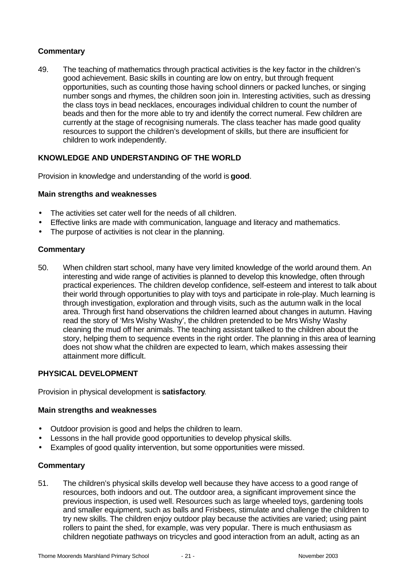#### **Commentary**

49. The teaching of mathematics through practical activities is the key factor in the children's good achievement. Basic skills in counting are low on entry, but through frequent opportunities, such as counting those having school dinners or packed lunches, or singing number songs and rhymes, the children soon join in. Interesting activities, such as dressing the class toys in bead necklaces, encourages individual children to count the number of beads and then for the more able to try and identify the correct numeral. Few children are currently at the stage of recognising numerals. The class teacher has made good quality resources to support the children's development of skills, but there are insufficient for children to work independently.

#### **KNOWLEDGE AND UNDERSTANDING OF THE WORLD**

Provision in knowledge and understanding of the world is **good**.

#### **Main strengths and weaknesses**

- The activities set cater well for the needs of all children.
- Effective links are made with communication, language and literacy and mathematics.
- The purpose of activities is not clear in the planning.

#### **Commentary**

50. When children start school, many have very limited knowledge of the world around them. An interesting and wide range of activities is planned to develop this knowledge, often through practical experiences. The children develop confidence, self-esteem and interest to talk about their world through opportunities to play with toys and participate in role-play. Much learning is through investigation, exploration and through visits, such as the autumn walk in the local area. Through first hand observations the children learned about changes in autumn. Having read the story of 'Mrs Wishy Washy', the children pretended to be Mrs Wishy Washy cleaning the mud off her animals. The teaching assistant talked to the children about the story, helping them to sequence events in the right order. The planning in this area of learning does not show what the children are expected to learn, which makes assessing their attainment more difficult.

#### **PHYSICAL DEVELOPMENT**

Provision in physical development is **satisfactory**.

#### **Main strengths and weaknesses**

- Outdoor provision is good and helps the children to learn.
- Lessons in the hall provide good opportunities to develop physical skills.
- Examples of good quality intervention, but some opportunities were missed.

#### **Commentary**

51. The children's physical skills develop well because they have access to a good range of resources, both indoors and out. The outdoor area, a significant improvement since the previous inspection, is used well. Resources such as large wheeled toys, gardening tools and smaller equipment, such as balls and Frisbees, stimulate and challenge the children to try new skills. The children enjoy outdoor play because the activities are varied; using paint rollers to paint the shed, for example, was very popular. There is much enthusiasm as children negotiate pathways on tricycles and good interaction from an adult, acting as an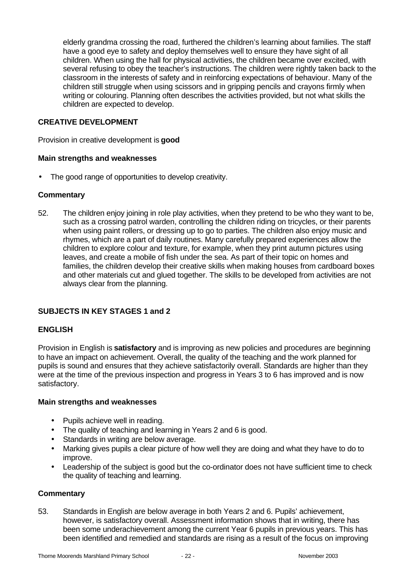elderly grandma crossing the road, furthered the children's learning about families. The staff have a good eye to safety and deploy themselves well to ensure they have sight of all children. When using the hall for physical activities, the children became over excited, with several refusing to obey the teacher's instructions. The children were rightly taken back to the classroom in the interests of safety and in reinforcing expectations of behaviour. Many of the children still struggle when using scissors and in gripping pencils and crayons firmly when writing or colouring. Planning often describes the activities provided, but not what skills the children are expected to develop.

#### **CREATIVE DEVELOPMENT**

Provision in creative development is **good**

#### **Main strengths and weaknesses**

The good range of opportunities to develop creativity.

#### **Commentary**

52. The children enjoy joining in role play activities, when they pretend to be who they want to be, such as a crossing patrol warden, controlling the children riding on tricycles, or their parents when using paint rollers, or dressing up to go to parties. The children also enjoy music and rhymes, which are a part of daily routines. Many carefully prepared experiences allow the children to explore colour and texture, for example, when they print autumn pictures using leaves, and create a mobile of fish under the sea. As part of their topic on homes and families, the children develop their creative skills when making houses from cardboard boxes and other materials cut and glued together. The skills to be developed from activities are not always clear from the planning.

#### **SUBJECTS IN KEY STAGES 1 and 2**

#### **ENGLISH**

Provision in English is **satisfactory** and is improving as new policies and procedures are beginning to have an impact on achievement. Overall, the quality of the teaching and the work planned for pupils is sound and ensures that they achieve satisfactorily overall. Standards are higher than they were at the time of the previous inspection and progress in Years 3 to 6 has improved and is now satisfactory.

#### **Main strengths and weaknesses**

- Pupils achieve well in reading.
- The quality of teaching and learning in Years 2 and 6 is good.
- Standards in writing are below average.
- Marking gives pupils a clear picture of how well they are doing and what they have to do to improve.
- Leadership of the subject is good but the co-ordinator does not have sufficient time to check the quality of teaching and learning.

#### **Commentary**

53. Standards in English are below average in both Years 2 and 6. Pupils' achievement, however, is satisfactory overall. Assessment information shows that in writing, there has been some underachievement among the current Year 6 pupils in previous years. This has been identified and remedied and standards are rising as a result of the focus on improving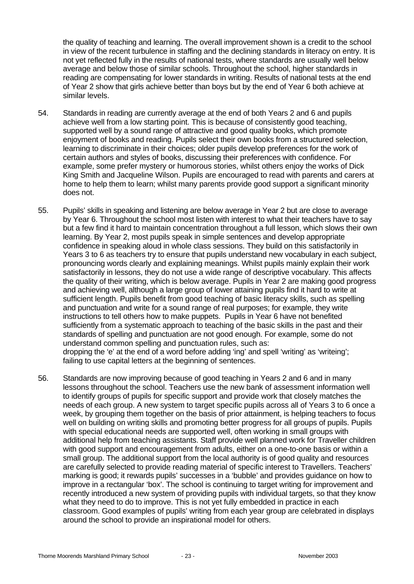the quality of teaching and learning. The overall improvement shown is a credit to the school in view of the recent turbulence in staffing and the declining standards in literacy on entry. It is not yet reflected fully in the results of national tests, where standards are usually well below average and below those of similar schools. Throughout the school, higher standards in reading are compensating for lower standards in writing. Results of national tests at the end of Year 2 show that girls achieve better than boys but by the end of Year 6 both achieve at similar levels.

- 54. Standards in reading are currently average at the end of both Years 2 and 6 and pupils achieve well from a low starting point. This is because of consistently good teaching, supported well by a sound range of attractive and good quality books, which promote enjoyment of books and reading. Pupils select their own books from a structured selection, learning to discriminate in their choices; older pupils develop preferences for the work of certain authors and styles of books, discussing their preferences with confidence. For example, some prefer mystery or humorous stories, whilst others enjoy the works of Dick King Smith and Jacqueline Wilson. Pupils are encouraged to read with parents and carers at home to help them to learn; whilst many parents provide good support a significant minority does not.
- 55. Pupils' skills in speaking and listening are below average in Year 2 but are close to average by Year 6. Throughout the school most listen with interest to what their teachers have to say but a few find it hard to maintain concentration throughout a full lesson, which slows their own learning. By Year 2, most pupils speak in simple sentences and develop appropriate confidence in speaking aloud in whole class sessions. They build on this satisfactorily in Years 3 to 6 as teachers try to ensure that pupils understand new vocabulary in each subject, pronouncing words clearly and explaining meanings. Whilst pupils mainly explain their work satisfactorily in lessons, they do not use a wide range of descriptive vocabulary. This affects the quality of their writing, which is below average. Pupils in Year 2 are making good progress and achieving well, although a large group of lower attaining pupils find it hard to write at sufficient length. Pupils benefit from good teaching of basic literacy skills, such as spelling and punctuation and write for a sound range of real purposes; for example, they write instructions to tell others how to make puppets. Pupils in Year 6 have not benefited sufficiently from a systematic approach to teaching of the basic skills in the past and their standards of spelling and punctuation are not good enough. For example, some do not understand common spelling and punctuation rules, such as: dropping the 'e' at the end of a word before adding 'ing' and spell 'writing' as 'writeing'; failing to use capital letters at the beginning of sentences.
- 56. Standards are now improving because of good teaching in Years 2 and 6 and in many lessons throughout the school. Teachers use the new bank of assessment information well to identify groups of pupils for specific support and provide work that closely matches the needs of each group. A new system to target specific pupils across all of Years 3 to 6 once a week, by grouping them together on the basis of prior attainment, is helping teachers to focus well on building on writing skills and promoting better progress for all groups of pupils. Pupils with special educational needs are supported well, often working in small groups with additional help from teaching assistants. Staff provide well planned work for Traveller children with good support and encouragement from adults, either on a one-to-one basis or within a small group. The additional support from the local authority is of good quality and resources are carefully selected to provide reading material of specific interest to Travellers. Teachers' marking is good; it rewards pupils' successes in a 'bubble' and provides guidance on how to improve in a rectangular 'box'. The school is continuing to target writing for improvement and recently introduced a new system of providing pupils with individual targets, so that they know what they need to do to improve. This is not yet fully embedded in practice in each classroom. Good examples of pupils' writing from each year group are celebrated in displays around the school to provide an inspirational model for others.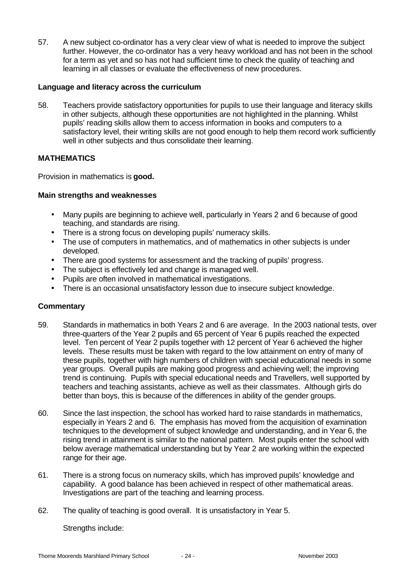57. A new subject co-ordinator has a very clear view of what is needed to improve the subject further. However, the co-ordinator has a very heavy workload and has not been in the school for a term as yet and so has not had sufficient time to check the quality of teaching and learning in all classes or evaluate the effectiveness of new procedures.

#### **Language and literacy across the curriculum**

58. Teachers provide satisfactory opportunities for pupils to use their language and literacy skills in other subjects, although these opportunities are not highlighted in the planning. Whilst pupils' reading skills allow them to access information in books and computers to a satisfactory level, their writing skills are not good enough to help them record work sufficiently well in other subjects and thus consolidate their learning.

#### **MATHEMATICS**

Provision in mathematics is **good.**

#### **Main strengths and weaknesses**

- Many pupils are beginning to achieve well, particularly in Years 2 and 6 because of good teaching, and standards are rising.
- There is a strong focus on developing pupils' numeracy skills.
- The use of computers in mathematics, and of mathematics in other subjects is under developed.
- There are good systems for assessment and the tracking of pupils' progress.
- The subject is effectively led and change is managed well.
- Pupils are often involved in mathematical investigations.
- There is an occasional unsatisfactory lesson due to insecure subject knowledge.

#### **Commentary**

- 59. Standards in mathematics in both Years 2 and 6 are average. In the 2003 national tests, over three-quarters of the Year 2 pupils and 65 percent of Year 6 pupils reached the expected level. Ten percent of Year 2 pupils together with 12 percent of Year 6 achieved the higher levels. These results must be taken with regard to the low attainment on entry of many of these pupils, together with high numbers of children with special educational needs in some year groups. Overall pupils are making good progress and achieving well; the improving trend is continuing. Pupils with special educational needs and Travellers, well supported by teachers and teaching assistants, achieve as well as their classmates. Although girls do better than boys, this is because of the differences in ability of the gender groups.
- 60. Since the last inspection, the school has worked hard to raise standards in mathematics, especially in Years 2 and 6. The emphasis has moved from the acquisition of examination techniques to the development of subject knowledge and understanding, and in Year 6, the rising trend in attainment is similar to the national pattern. Most pupils enter the school with below average mathematical understanding but by Year 2 are working within the expected range for their age.
- 61. There is a strong focus on numeracy skills, which has improved pupils' knowledge and capability. A good balance has been achieved in respect of other mathematical areas. Investigations are part of the teaching and learning process.
- 62. The quality of teaching is good overall. It is unsatisfactory in Year 5.

Strengths include: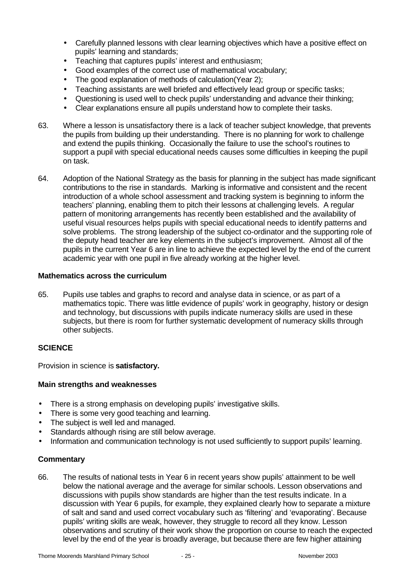- Carefully planned lessons with clear learning objectives which have a positive effect on pupils' learning and standards;
- Teaching that captures pupils' interest and enthusiasm;
- Good examples of the correct use of mathematical vocabulary;
- The good explanation of methods of calculation(Year 2);
- Teaching assistants are well briefed and effectively lead group or specific tasks;
- Questioning is used well to check pupils' understanding and advance their thinking;
- Clear explanations ensure all pupils understand how to complete their tasks.
- 63. Where a lesson is unsatisfactory there is a lack of teacher subject knowledge, that prevents the pupils from building up their understanding. There is no planning for work to challenge and extend the pupils thinking. Occasionally the failure to use the school's routines to support a pupil with special educational needs causes some difficulties in keeping the pupil on task.
- 64. Adoption of the National Strategy as the basis for planning in the subject has made significant contributions to the rise in standards. Marking is informative and consistent and the recent introduction of a whole school assessment and tracking system is beginning to inform the teachers' planning, enabling them to pitch their lessons at challenging levels. A regular pattern of monitoring arrangements has recently been established and the availability of useful visual resources helps pupils with special educational needs to identify patterns and solve problems. The strong leadership of the subject co-ordinator and the supporting role of the deputy head teacher are key elements in the subject's improvement. Almost all of the pupils in the current Year 6 are in line to achieve the expected level by the end of the current academic year with one pupil in five already working at the higher level.

#### **Mathematics across the curriculum**

65. Pupils use tables and graphs to record and analyse data in science, or as part of a mathematics topic. There was little evidence of pupils' work in geography, history or design and technology, but discussions with pupils indicate numeracy skills are used in these subjects, but there is room for further systematic development of numeracy skills through other subjects.

#### **SCIENCE**

Provision in science is **satisfactory.**

#### **Main strengths and weaknesses**

- There is a strong emphasis on developing pupils' investigative skills.
- There is some very good teaching and learning.
- The subject is well led and managed.
- Standards although rising are still below average.
- Information and communication technology is not used sufficiently to support pupils' learning.

#### **Commentary**

66. The results of national tests in Year 6 in recent years show pupils' attainment to be well below the national average and the average for similar schools. Lesson observations and discussions with pupils show standards are higher than the test results indicate. In a discussion with Year 6 pupils, for example, they explained clearly how to separate a mixture of salt and sand and used correct vocabulary such as 'filtering' and 'evaporating'. Because pupils' writing skills are weak, however, they struggle to record all they know. Lesson observations and scrutiny of their work show the proportion on course to reach the expected level by the end of the year is broadly average, but because there are few higher attaining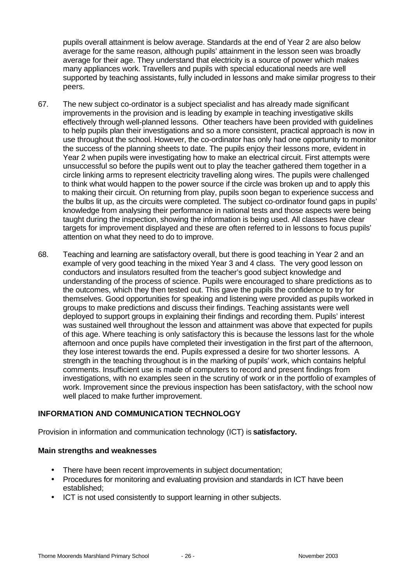pupils overall attainment is below average. Standards at the end of Year 2 are also below average for the same reason, although pupils' attainment in the lesson seen was broadly average for their age. They understand that electricity is a source of power which makes many appliances work. Travellers and pupils with special educational needs are well supported by teaching assistants, fully included in lessons and make similar progress to their peers.

- 67. The new subject co-ordinator is a subject specialist and has already made significant improvements in the provision and is leading by example in teaching investigative skills effectively through well-planned lessons. Other teachers have been provided with guidelines to help pupils plan their investigations and so a more consistent, practical approach is now in use throughout the school. However, the co-ordinator has only had one opportunity to monitor the success of the planning sheets to date. The pupils enjoy their lessons more, evident in Year 2 when pupils were investigating how to make an electrical circuit. First attempts were unsuccessful so before the pupils went out to play the teacher gathered them together in a circle linking arms to represent electricity travelling along wires. The pupils were challenged to think what would happen to the power source if the circle was broken up and to apply this to making their circuit. On returning from play, pupils soon began to experience success and the bulbs lit up, as the circuits were completed. The subject co-ordinator found gaps in pupils' knowledge from analysing their performance in national tests and those aspects were being taught during the inspection, showing the information is being used. All classes have clear targets for improvement displayed and these are often referred to in lessons to focus pupils' attention on what they need to do to improve.
- 68. Teaching and learning are satisfactory overall, but there is good teaching in Year 2 and an example of very good teaching in the mixed Year 3 and 4 class. The very good lesson on conductors and insulators resulted from the teacher's good subject knowledge and understanding of the process of science. Pupils were encouraged to share predictions as to the outcomes, which they then tested out. This gave the pupils the confidence to try for themselves. Good opportunities for speaking and listening were provided as pupils worked in groups to make predictions and discuss their findings. Teaching assistants were well deployed to support groups in explaining their findings and recording them. Pupils' interest was sustained well throughout the lesson and attainment was above that expected for pupils of this age. Where teaching is only satisfactory this is because the lessons last for the whole afternoon and once pupils have completed their investigation in the first part of the afternoon, they lose interest towards the end. Pupils expressed a desire for two shorter lessons. A strength in the teaching throughout is in the marking of pupils' work, which contains helpful comments. Insufficient use is made of computers to record and present findings from investigations, with no examples seen in the scrutiny of work or in the portfolio of examples of work. Improvement since the previous inspection has been satisfactory, with the school now well placed to make further improvement.

# **INFORMATION AND COMMUNICATION TECHNOLOGY**

Provision in information and communication technology (ICT) is **satisfactory.**

#### **Main strengths and weaknesses**

- There have been recent improvements in subject documentation;
- Procedures for monitoring and evaluating provision and standards in ICT have been established;
- ICT is not used consistently to support learning in other subjects.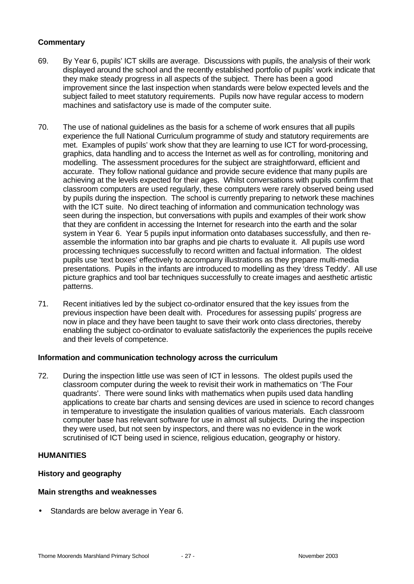#### **Commentary**

- 69. By Year 6, pupils' ICT skills are average. Discussions with pupils, the analysis of their work displayed around the school and the recently established portfolio of pupils' work indicate that they make steady progress in all aspects of the subject. There has been a good improvement since the last inspection when standards were below expected levels and the subject failed to meet statutory requirements. Pupils now have regular access to modern machines and satisfactory use is made of the computer suite.
- 70. The use of national guidelines as the basis for a scheme of work ensures that all pupils experience the full National Curriculum programme of study and statutory requirements are met. Examples of pupils' work show that they are learning to use ICT for word-processing, graphics, data handling and to access the Internet as well as for controlling, monitoring and modelling. The assessment procedures for the subject are straightforward, efficient and accurate. They follow national guidance and provide secure evidence that many pupils are achieving at the levels expected for their ages. Whilst conversations with pupils confirm that classroom computers are used regularly, these computers were rarely observed being used by pupils during the inspection. The school is currently preparing to network these machines with the ICT suite. No direct teaching of information and communication technology was seen during the inspection, but conversations with pupils and examples of their work show that they are confident in accessing the Internet for research into the earth and the solar system in Year 6. Year 5 pupils input information onto databases successfully, and then reassemble the information into bar graphs and pie charts to evaluate it. All pupils use word processing techniques successfully to record written and factual information. The oldest pupils use 'text boxes' effectively to accompany illustrations as they prepare multi-media presentations. Pupils in the infants are introduced to modelling as they 'dress Teddy'. All use picture graphics and tool bar techniques successfully to create images and aesthetic artistic patterns.
- 71. Recent initiatives led by the subject co-ordinator ensured that the key issues from the previous inspection have been dealt with. Procedures for assessing pupils' progress are now in place and they have been taught to save their work onto class directories, thereby enabling the subject co-ordinator to evaluate satisfactorily the experiences the pupils receive and their levels of competence.

#### **Information and communication technology across the curriculum**

72. During the inspection little use was seen of ICT in lessons. The oldest pupils used the classroom computer during the week to revisit their work in mathematics on 'The Four quadrants'. There were sound links with mathematics when pupils used data handling applications to create bar charts and sensing devices are used in science to record changes in temperature to investigate the insulation qualities of various materials. Each classroom computer base has relevant software for use in almost all subjects. During the inspection they were used, but not seen by inspectors, and there was no evidence in the work scrutinised of ICT being used in science, religious education, geography or history.

#### **HUMANITIES**

#### **History and geography**

#### **Main strengths and weaknesses**

Standards are below average in Year 6.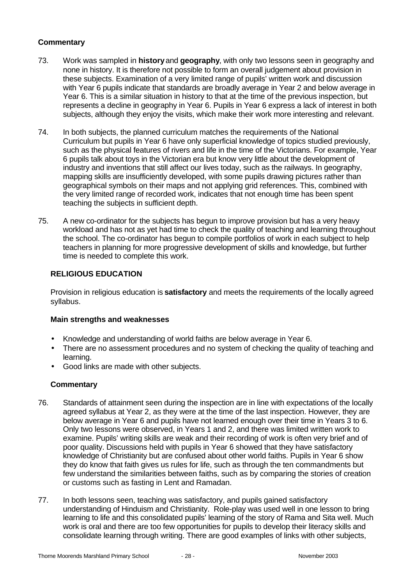# **Commentary**

- 73. Work was sampled in **history** and **geography**, with only two lessons seen in geography and none in history. It is therefore not possible to form an overall judgement about provision in these subjects. Examination of a very limited range of pupils' written work and discussion with Year 6 pupils indicate that standards are broadly average in Year 2 and below average in Year 6. This is a similar situation in history to that at the time of the previous inspection, but represents a decline in geography in Year 6. Pupils in Year 6 express a lack of interest in both subjects, although they enjoy the visits, which make their work more interesting and relevant.
- 74. In both subjects, the planned curriculum matches the requirements of the National Curriculum but pupils in Year 6 have only superficial knowledge of topics studied previously, such as the physical features of rivers and life in the time of the Victorians. For example, Year 6 pupils talk about toys in the Victorian era but know very little about the development of industry and inventions that still affect our lives today, such as the railways. In geography, mapping skills are insufficiently developed, with some pupils drawing pictures rather than geographical symbols on their maps and not applying grid references. This, combined with the very limited range of recorded work, indicates that not enough time has been spent teaching the subjects in sufficient depth.
- 75. A new co-ordinator for the subjects has begun to improve provision but has a very heavy workload and has not as yet had time to check the quality of teaching and learning throughout the school. The co-ordinator has begun to compile portfolios of work in each subject to help teachers in planning for more progressive development of skills and knowledge, but further time is needed to complete this work.

# **RELIGIOUS EDUCATION**

Provision in religious education is **satisfactory** and meets the requirements of the locally agreed syllabus.

#### **Main strengths and weaknesses**

- Knowledge and understanding of world faiths are below average in Year 6.
- There are no assessment procedures and no system of checking the quality of teaching and learning.
- Good links are made with other subjects.

#### **Commentary**

- 76. Standards of attainment seen during the inspection are in line with expectations of the locally agreed syllabus at Year 2, as they were at the time of the last inspection. However, they are below average in Year 6 and pupils have not learned enough over their time in Years 3 to 6. Only two lessons were observed, in Years 1 and 2, and there was limited written work to examine. Pupils' writing skills are weak and their recording of work is often very brief and of poor quality. Discussions held with pupils in Year 6 showed that they have satisfactory knowledge of Christianity but are confused about other world faiths. Pupils in Year 6 show they do know that faith gives us rules for life, such as through the ten commandments but few understand the similarities between faiths, such as by comparing the stories of creation or customs such as fasting in Lent and Ramadan.
- 77. In both lessons seen, teaching was satisfactory, and pupils gained satisfactory understanding of Hinduism and Christianity. Role-play was used well in one lesson to bring learning to life and this consolidated pupils' learning of the story of Rama and Sita well. Much work is oral and there are too few opportunities for pupils to develop their literacy skills and consolidate learning through writing. There are good examples of links with other subjects,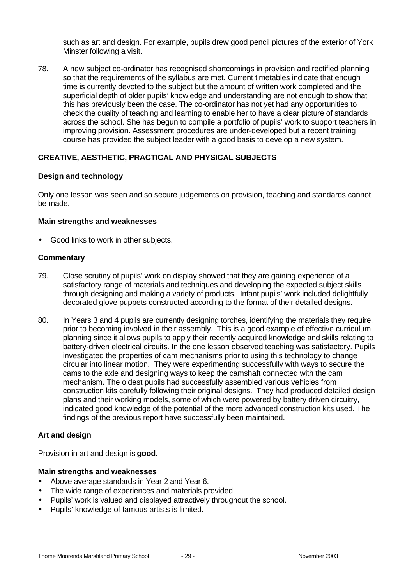such as art and design. For example, pupils drew good pencil pictures of the exterior of York Minster following a visit.

78. A new subject co-ordinator has recognised shortcomings in provision and rectified planning so that the requirements of the syllabus are met. Current timetables indicate that enough time is currently devoted to the subject but the amount of written work completed and the superficial depth of older pupils' knowledge and understanding are not enough to show that this has previously been the case. The co-ordinator has not yet had any opportunities to check the quality of teaching and learning to enable her to have a clear picture of standards across the school. She has begun to compile a portfolio of pupils' work to support teachers in improving provision. Assessment procedures are under-developed but a recent training course has provided the subject leader with a good basis to develop a new system.

#### **CREATIVE, AESTHETIC, PRACTICAL AND PHYSICAL SUBJECTS**

#### **Design and technology**

Only one lesson was seen and so secure judgements on provision, teaching and standards cannot be made.

#### **Main strengths and weaknesses**

• Good links to work in other subjects.

#### **Commentary**

- 79. Close scrutiny of pupils' work on display showed that they are gaining experience of a satisfactory range of materials and techniques and developing the expected subject skills through designing and making a variety of products. Infant pupils' work included delightfully decorated glove puppets constructed according to the format of their detailed designs.
- 80. In Years 3 and 4 pupils are currently designing torches, identifying the materials they require, prior to becoming involved in their assembly. This is a good example of effective curriculum planning since it allows pupils to apply their recently acquired knowledge and skills relating to battery-driven electrical circuits. In the one lesson observed teaching was satisfactory. Pupils investigated the properties of cam mechanisms prior to using this technology to change circular into linear motion. They were experimenting successfully with ways to secure the cams to the axle and designing ways to keep the camshaft connected with the cam mechanism. The oldest pupils had successfully assembled various vehicles from construction kits carefully following their original designs. They had produced detailed design plans and their working models, some of which were powered by battery driven circuitry, indicated good knowledge of the potential of the more advanced construction kits used. The findings of the previous report have successfully been maintained.

#### **Art and design**

Provision in art and design is **good.**

#### **Main strengths and weaknesses**

- Above average standards in Year 2 and Year 6.
- The wide range of experiences and materials provided.
- Pupils' work is valued and displayed attractively throughout the school.
- Pupils' knowledge of famous artists is limited.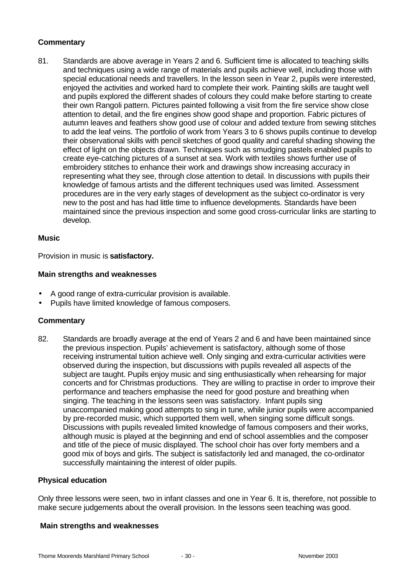# **Commentary**

81. Standards are above average in Years 2 and 6. Sufficient time is allocated to teaching skills and techniques using a wide range of materials and pupils achieve well, including those with special educational needs and travellers. In the lesson seen in Year 2, pupils were interested, enjoyed the activities and worked hard to complete their work. Painting skills are taught well and pupils explored the different shades of colours they could make before starting to create their own Rangoli pattern. Pictures painted following a visit from the fire service show close attention to detail, and the fire engines show good shape and proportion. Fabric pictures of autumn leaves and feathers show good use of colour and added texture from sewing stitches to add the leaf veins. The portfolio of work from Years 3 to 6 shows pupils continue to develop their observational skills with pencil sketches of good quality and careful shading showing the effect of light on the objects drawn. Techniques such as smudging pastels enabled pupils to create eye-catching pictures of a sunset at sea. Work with textiles shows further use of embroidery stitches to enhance their work and drawings show increasing accuracy in representing what they see, through close attention to detail. In discussions with pupils their knowledge of famous artists and the different techniques used was limited. Assessment procedures are in the very early stages of development as the subject co-ordinator is very new to the post and has had little time to influence developments. Standards have been maintained since the previous inspection and some good cross-curricular links are starting to develop.

#### **Music**

Provision in music is **satisfactory.**

#### **Main strengths and weaknesses**

- A good range of extra-curricular provision is available.
- Pupils have limited knowledge of famous composers.

#### **Commentary**

82. Standards are broadly average at the end of Years 2 and 6 and have been maintained since the previous inspection. Pupils' achievement is satisfactory, although some of those receiving instrumental tuition achieve well. Only singing and extra-curricular activities were observed during the inspection, but discussions with pupils revealed all aspects of the subject are taught. Pupils enjoy music and sing enthusiastically when rehearsing for major concerts and for Christmas productions. They are willing to practise in order to improve their performance and teachers emphasise the need for good posture and breathing when singing. The teaching in the lessons seen was satisfactory. Infant pupils sing unaccompanied making good attempts to sing in tune, while junior pupils were accompanied by pre-recorded music, which supported them well, when singing some difficult songs. Discussions with pupils revealed limited knowledge of famous composers and their works, although music is played at the beginning and end of school assemblies and the composer and title of the piece of music displayed. The school choir has over forty members and a good mix of boys and girls. The subject is satisfactorily led and managed, the co-ordinator successfully maintaining the interest of older pupils.

#### **Physical education**

Only three lessons were seen, two in infant classes and one in Year 6. It is, therefore, not possible to make secure judgements about the overall provision. In the lessons seen teaching was good.

#### **Main strengths and weaknesses**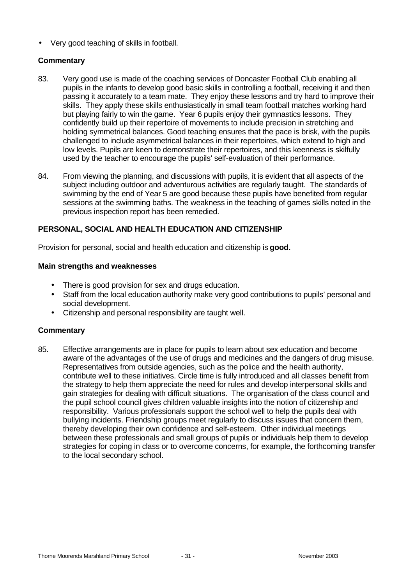• Very good teaching of skills in football.

#### **Commentary**

- 83. Very good use is made of the coaching services of Doncaster Football Club enabling all pupils in the infants to develop good basic skills in controlling a football, receiving it and then passing it accurately to a team mate. They enjoy these lessons and try hard to improve their skills. They apply these skills enthusiastically in small team football matches working hard but playing fairly to win the game. Year 6 pupils enjoy their gymnastics lessons. They confidently build up their repertoire of movements to include precision in stretching and holding symmetrical balances. Good teaching ensures that the pace is brisk, with the pupils challenged to include asymmetrical balances in their repertoires, which extend to high and low levels. Pupils are keen to demonstrate their repertoires, and this keenness is skilfully used by the teacher to encourage the pupils' self-evaluation of their performance.
- 84. From viewing the planning, and discussions with pupils, it is evident that all aspects of the subject including outdoor and adventurous activities are regularly taught. The standards of swimming by the end of Year 5 are good because these pupils have benefited from regular sessions at the swimming baths. The weakness in the teaching of games skills noted in the previous inspection report has been remedied.

# **PERSONAL, SOCIAL AND HEALTH EDUCATION AND CITIZENSHIP**

Provision for personal, social and health education and citizenship is **good.**

#### **Main strengths and weaknesses**

- There is good provision for sex and drugs education.
- Staff from the local education authority make very good contributions to pupils' personal and social development.
- Citizenship and personal responsibility are taught well.

#### **Commentary**

85. Effective arrangements are in place for pupils to learn about sex education and become aware of the advantages of the use of drugs and medicines and the dangers of drug misuse. Representatives from outside agencies, such as the police and the health authority, contribute well to these initiatives. Circle time is fully introduced and all classes benefit from the strategy to help them appreciate the need for rules and develop interpersonal skills and gain strategies for dealing with difficult situations. The organisation of the class council and the pupil school council gives children valuable insights into the notion of citizenship and responsibility. Various professionals support the school well to help the pupils deal with bullying incidents. Friendship groups meet regularly to discuss issues that concern them, thereby developing their own confidence and self-esteem. Other individual meetings between these professionals and small groups of pupils or individuals help them to develop strategies for coping in class or to overcome concerns, for example, the forthcoming transfer to the local secondary school.